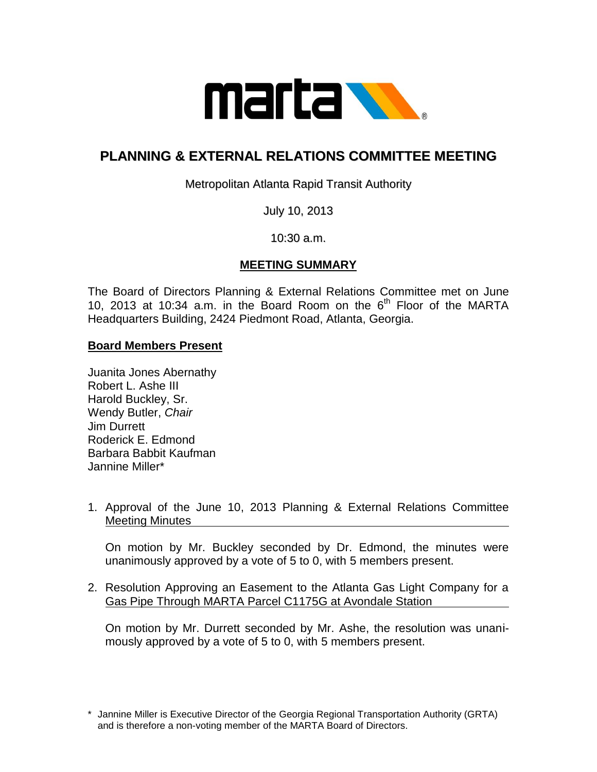

## **PLANNING & EXTERNAL RELATIONS COMMITTEE MEETING**

Metropolitan Atlanta Rapid Transit Authority

July 10, 2013

10:30 a.m.

## **MEETING SUMMARY**

The Board of Directors Planning & External Relations Committee met on June 10, 2013 at 10:34 a.m. in the Board Room on the  $6<sup>th</sup>$  Floor of the MARTA Headquarters Building, 2424 Piedmont Road, Atlanta, Georgia.

## **Board Members Present**

Juanita Jones Abernathy Robert L. Ashe III Harold Buckley, Sr. Wendy Butler, *Chair* Jim Durrett Roderick E. Edmond Barbara Babbit Kaufman Jannine Miller\*

1. Approval of the June 10, 2013 Planning & External Relations Committee Meeting Minutes

On motion by Mr. Buckley seconded by Dr. Edmond, the minutes were unanimously approved by a vote of 5 to 0, with 5 members present.

2. Resolution Approving an Easement to the Atlanta Gas Light Company for a Gas Pipe Through MARTA Parcel C1175G at Avondale Station

On motion by Mr. Durrett seconded by Mr. Ashe, the resolution was unanimously approved by a vote of 5 to 0, with 5 members present.

<sup>\*</sup> Jannine Miller is Executive Director of the Georgia Regional Transportation Authority (GRTA) and is therefore a non-voting member of the MARTA Board of Directors.